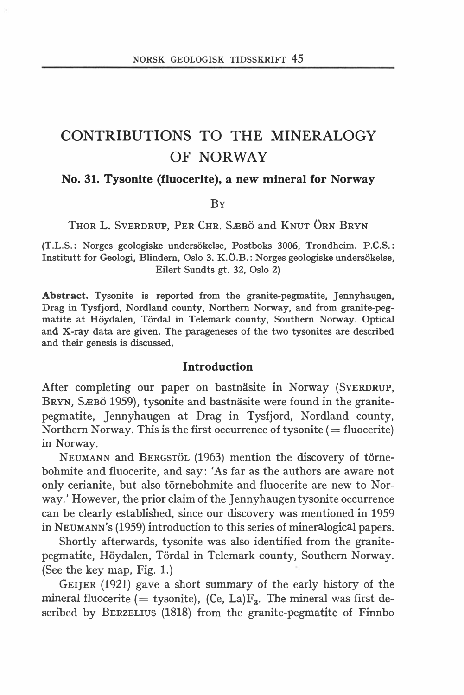# CONTRIBUTIONS TO THE MINERALOGY OF NORWAY

#### No. 31. Tysonite (fluocerite), a new mineral for Norway

BY

THOR L. SVERDRUP, PER CHR. SÆBÖ and KNUT ÖRN BRYN

(T.L.S.: Norges geologiske undersokelse, Postboks 3006, Trondheim. P.C.S. : Institutt for Geologi, Blindern, Oslo 3. K.O.B.: Norges geologiske undersokelse, Eilert Sundts gt. 32, Oslo 2)

Abstract. Tysonite is reported from the granite-pegmatite, Jennyhaugen, Drag in Tysfjord, Nordland county, Northem Norway, and from granite-pegmatite at Höydalen, Tördal in Telemark county, Southern Norway. Optical and X-ray data are given. The parageneses of the two tysonites are described and their genesis is discussed.

#### Introduction

After completing our paper on bastnasite in Norway (SVERDRUP, BRYN, SÆBÖ 1959), tysonite and bastnäsite were found in the granitepegmatite, Jennyhaugen at Drag in Tysfjord, Nordland county, Northern Norway. This is the first occurrence of tysonite  $(=$  fluocerite) in Norway.

NEUMANN and BERGSTÖL (1963) mention the discovery of törnebohmite and fluocerite, and say: 'As far as the authors are aware not only cerianite, but also törnebohmite and fluocerite are new to Norway.' However, the prior claim of the Jennyhaugen tysonite occurrence can be clearly established, since our discovery was mentioned in 1959 in NEUMANN's (1959) introduction to this series of mineralogical papers.

Shortly afterwards, tysonite was also identified from the granitepegmatite, Höydalen, Tördal in Telemark county, Southern Norway. (See the key map, Fig. 1.)

GEIJER (1921) gave a short summary of the early history of the mineral fluocerite (= tysonite), (Ce, La) $F_3$ . The mineral was first described by BERZELIUS (1818) from the granite-pegmatite of Finnbo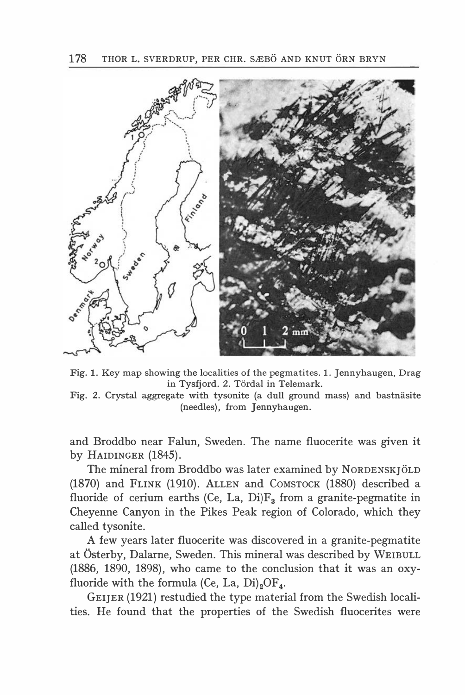

Fig. l. Key map showing the localities of the pegmatites. l. Jennyhaugen, Drag in Tysfjord. 2. Tördal in Telemark.

Fig. 2. Crystal aggregate with tysonite (a dull ground mass) and bastnäsite (needles), from Jennyhaugen.

and Broddbo near Falun, Sweden. The name fluocerite was given it by HAIDINGER (1845).

The mineral from Broddbo was later examined by NORDENSKJÖLD (1870) and FLINK (1910). ALLEN and COMSTOCK (1880) described a fluoride of cerium earths (Ce, La, Di) $F_3$  from a granite-pegmatite in Cheyenne Canyon in the Pikes Peak region of Colorado, which they called tysonite.

A few years later fluocerite was discovered in a granite-pegmatite at Osterby, Dalarne, Sweden. This mineral was described by WEIBULL (1886, 1890, 1898), who came to the conclusion that it was an oxyfluoride with the formula (Ce, La,  $Di$ )<sub>2</sub>OF<sub>4</sub>.

GEIJER (1921) restudied the type material from the Swedish localities. He found that the properties of the Swedish fluocerites were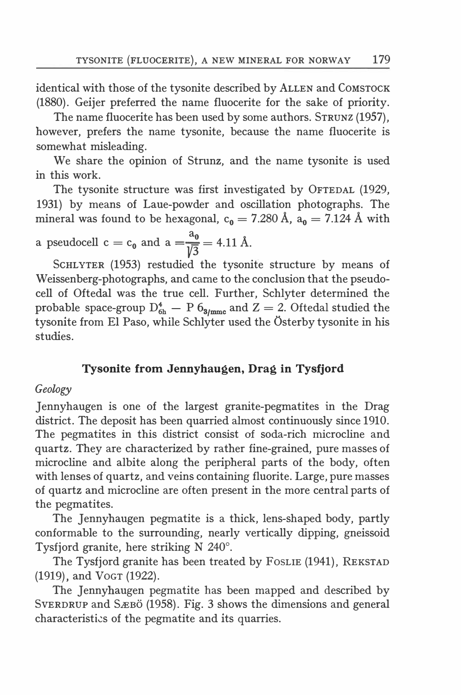identical with those of the tysonite described by ALLEN and COMSTOCK (1880). Geijer pteferred the name fluocerite for the sake of priority.

The name fluocerite has been used by some authors. STRUNZ (1957), however, prefers the name tysonite, because the name fluocerite is somewhat misleading.

We share the opinion of Strunz, and the name tysonite is used in this work.

The tysonite structure was first investigated by OFTEDAL (1929, 1931) by means of Laue-powder and oscillation photographs. The mineral was found to be hexagonal,  $c_0 = 7.280 \text{ Å}$ ,  $a_0 = 7.124 \text{ Å}$  with

a pseudocell 
$$
c = c_0
$$
 and  $a = \frac{a_0}{\sqrt{3}} = 4.11$  Å.

ScHLYTER (1953) restudied the tysonite structure by means of Weissenberg-photographs, and came to the conclusion that the pseudocell of Oftedal was the true cell. Further, Schlyter determined the probable space-group  $D_{6h}^4 - P_06_{3h}$  and  $Z = 2$ . Oftedal studied the tysonite from El Paso, while Schlyter used the Osterby tysonite in his studies.

## Tysonite from Jennyhaugen, Drag in Tysfjord

#### Geology

Jennyhaugen is one of the largest granite-pegmatites in the Drag district. The deposit has been quarried almost continuously since 1910. The pegmatites in this district consist of soda-rich microcline and quartz. They are characterized by rather fine-grained, pure masses of microcline and albite along the peripheral parts of the body, often with lenses of quartz, and veins containing fluorite. Large, pure masses of quartz and microcline are aften present in the more central parts of the pegmatites.

The Jennyhaugen pegmatite is a thick, lens-shaped body, partly conformable to the surrounding, nearly vertically dipping, gneissoid Tysfjord granite, here striking N 240°.

The Tysfjord granite has been treated by FosLIE (1941), REKSTAD (1919), and VoGT (1922).

The Jennyhaugen pegmatite has been mapped and described by SVERDRUP and SÆBÖ (1958). Fig. 3 shows the dimensions and general characteristi�s of the pegmatite and its quarries.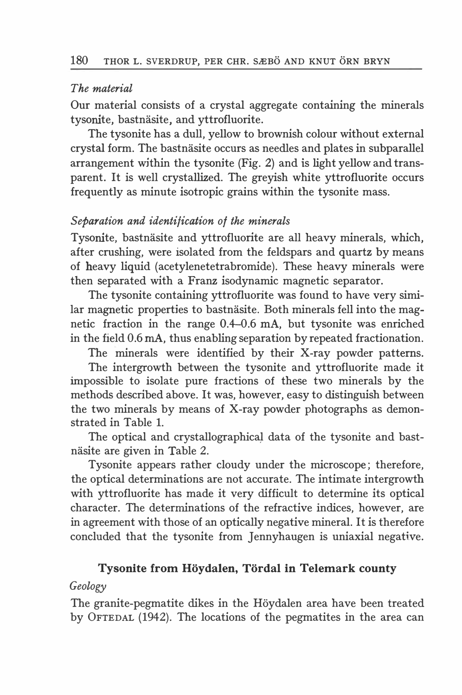## The material

Our material consists of a crystal aggregate containing the minerals tysonite, bastnasite, and yttrofluorite.

The tysonite has a dull, yellow to brownish colour without external crystal form. The bastnasite occurs as needles and plates in subparallel arrangement within the tysonite (Fig. 2) and is light yellow and transparent. It is well crystallized. The greyish white yttrofluorite occurs frequently as minute isotropic grains within the tysonite mass.

## Separation and identification of the minerals

Tysonite, bastnäsite and yttrofluorite are all heavy minerals, which, after crushing, were isolated from the feldspars and quartz by means of heavy liquid (acetylenetetrabromide). These heavy minerals were then separated with a Franz isodynamic magnetic separator.

The tysonite containing yttrofluorite was found to have very similar magnetic properties to bastnäsite. Both minerals fell into the magnetic fraction in the range  $0.4-0.6$  mA, but tysonite was enriched in the field 0.6 mA, thus enabling separation by repeated fractionation.

The minerals were identified by their X-ray powder patterns.

The intergrowth between the tysonite and yttrofluorite made it impossible to isolate pure fractions of these two minerals by the methods described above. It was, however, easy to distinguish between the two minerals by means of X-ray powder photographs as demonstrated in Table l.

The optical and crystallographical data of the tysonite and bastnäsite are given in Table 2.

Tysonite appears rather cloudy under the microscope; therefore, the optical determinations are not accurate. The intimate intergrowth with yttrofluorite has made it very difficult to determine its optical character. The determinations of the refractive indices, however, are in agreement with those of an optically negative mineral. It is therefore concluded that the tysonite from Jennyhaugen is uniaxial negative.

## Tysonite from Höydalen, Tördal in Telemark county

## Geology

The granite-pegmatite dikes in the Höydalen area have been treated by OFTEDAL (1942). The locations of the pegmatites in the area can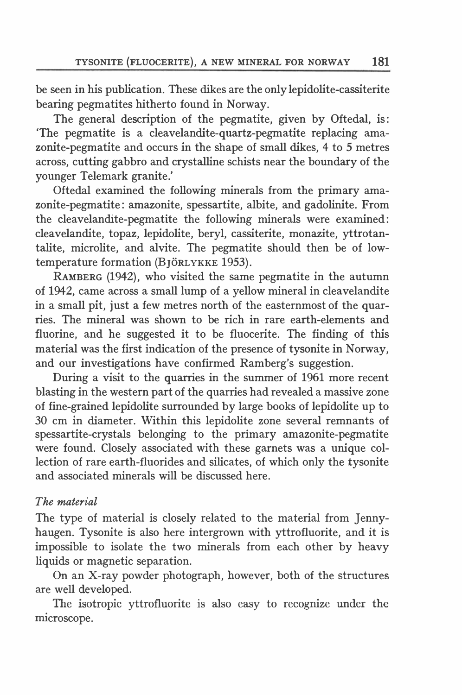be seen in his publication. These dikes are the only lepidolite-cassiterite bearing pegmatites hitherto found in Norway.

The general description of the pegmatite, given by Oftedal, is: 'The pegmatite is a cleavelandite-quartz-pegmatite replacing amazonite-pegmatite and occurs in the shape of small dikes, 4 to 5 metres across, cutting gabbro and crystalline schists near the boundary of the younger Telemark granite.'

Oftedal examined the following minerals from the primary amazonite-pegmatite: amazonite, spessartite, albite, and gadolinite. From the cleavelandite-pegmatite the following minerals were examined: cleavelandite, topaz, lepidolite, beryl, cassiterite, monazite, yttrotantalite, microlite, and alvite. The pegmatite should then be of lowtemperature formation (BJÖRLYKKE 1953).

RAMBERG (1942), who visited the same pegmatite in the autumn of 1942, came across a small lump of a yellow mineral in cleavelandite in a small pit, just a few metres north of the easternmost of the quarries. The mineral was shown to be rich in rare earth-elements and fluorine, and he suggested it to be fluocerite. The finding of this material was the first indication of the presence of tysonite in Norway, and our investigations have confirmed Ramberg's suggestion.

During a visit to the quarries in the summer of 1961 more recent blasting in the western part of the quarries had revealed a massive zone of fine-grained lepidolite surrounded by large books of lepidolite up to 30 cm in diameter. Within this lepidolite zone several remnants of spessartite-crystals belonging to the primary amazonite-pegmatite were found. Closely associated with these garnets was a unique collection of rare earth-fluorides and silicates, of which only the tysonite and associated minerals will be discussed here.

## The material

The type of material is closely related to the material from Jennyhaugen. Tysonite is also here intergrown with yttrofluorite, and it is impossible to isolate the two minerals from each other by heavy liquids or magnetic separation.

On an X-ray powder photograph, however, both of the structures are well developed.

The isotropic yttrofluorite is also easy to recognize under the microscope.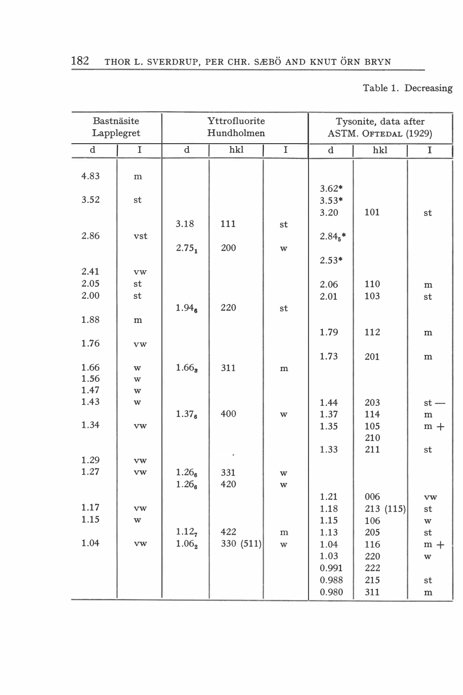Table l. Decreasing

| Bastnäsite<br>Lapplegret |            |                   | Yttrofluorite<br>Hundholmen |             |                 | Tysonite, data after<br>ASTM. OFTEDAL (1929) |                         |
|--------------------------|------------|-------------------|-----------------------------|-------------|-----------------|----------------------------------------------|-------------------------|
| $\mathbf d$              | I          | $\rm d$           | hkl                         | $\mathbf I$ | $\rm d$         | hkl                                          | $\mathbf I$             |
| 4.83                     | m          |                   |                             |             | $3.62*$         |                                              |                         |
| 3.52                     | st         |                   |                             |             | $3.53*$<br>3.20 | 101                                          | st                      |
| 2.86                     | vst        | 3.18              | 111                         | st          | $2.845$ *       |                                              |                         |
|                          |            | $2.75_1$          | 200                         | w           | $2.53*$         |                                              |                         |
| 2.41                     | vw         |                   |                             |             |                 |                                              |                         |
| 2.05<br>2.00             | st<br>st   |                   |                             |             | 2.06<br>2.01    | 110<br>103                                   | ${\bf m}$<br>st         |
|                          |            | 1.94 <sub>6</sub> | 220                         | st          |                 |                                              |                         |
| 1.88                     | m          |                   |                             |             | 1.79            | 112                                          | m                       |
| 1.76                     | vw         |                   |                             |             | 1.73            | 201                                          | ${\bf m}$               |
| 1.66                     | W          | 1.66 <sub>s</sub> | 311                         | ${\bf m}$   |                 |                                              |                         |
| 1.56                     | w          |                   |                             |             |                 |                                              |                         |
| 1.47<br>1.43             | w          |                   |                             |             | 1.44            | 203                                          |                         |
|                          | W          | 1.37 <sub>6</sub> | 400                         | w           | 1.37            | 114                                          | $st -$<br>${\bf m}$     |
| 1.34                     | vw         |                   |                             |             | 1.35            | 105<br>210                                   | $m +$                   |
| 1.29                     | vw         |                   |                             |             | 1.33            | 211                                          | st                      |
| 1.27                     | vw         | 1.26 <sub>6</sub> | 331                         | W           |                 |                                              |                         |
|                          |            | 1.26 <sub>6</sub> | 420                         | W           |                 |                                              |                         |
|                          |            |                   |                             |             | 1.21            | 006                                          | vw                      |
| 1.17                     | ${\bf VW}$ |                   |                             |             | 1.18            | 213(115)                                     | st                      |
| 1.15                     | w          |                   |                             |             | 1.15            | 106                                          | $\ensuremath{\text{w}}$ |
|                          |            | 1.12,             | 422                         | m           | 1.13            | 205                                          | st                      |
| 1.04                     | vw         | $1.06_{2}$        | 330 (511)                   | W           | 1.04            | 116                                          | $m +$                   |
|                          |            |                   |                             |             | 1.03            | 220                                          | W                       |
|                          |            |                   |                             |             | 0.991<br>0.988  | 222<br>215                                   |                         |
|                          |            |                   |                             |             | 0.980           | 311                                          | st<br>${\bf m}$         |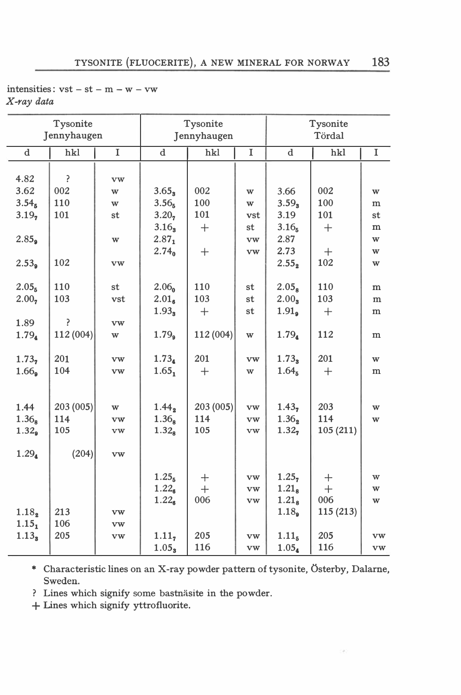| intensities: $vst - st - m - w - vw$ |  |  |  |
|--------------------------------------|--|--|--|
| X-ray data                           |  |  |  |

|                   | Tysonite    |                |                   | Tysonite    |             |                   | Tysonite |        |
|-------------------|-------------|----------------|-------------------|-------------|-------------|-------------------|----------|--------|
|                   | Jennyhaugen |                |                   | Jennyhaugen |             |                   | Tördal   |        |
| $\mathbf d$       | hkl         | $\overline{I}$ | d.                | hkl         | $\mathbf I$ | $\mathbf d$       | hkl      | I      |
|                   |             |                |                   |             |             |                   |          |        |
| 4.82              | P           | vw             |                   |             |             |                   |          |        |
| 3.62              | 002         | w              | 3.65 <sub>3</sub> | 002         | W           | 3.66              | 002      | W      |
| 3.54 <sub>5</sub> | 110         | w              | 3.56 <sub>5</sub> | 100         | w           | $3.59_3$          | 100      | m      |
| 3.19 <sub>2</sub> | 101         | st             | 3.20,             | 101         | vst         | 3.19              | 101      | st     |
|                   |             |                | 3.16 <sub>3</sub> | $^{+}$      | st          | 3.16 <sub>5</sub> | $^{+}$   | m      |
| 2.85 <sub>9</sub> |             | w              | $2.87_1$          |             | vw          | 2.87              |          | W      |
|                   |             |                | 2.74 <sub>0</sub> | $^{+}$      | vw          | 2.73              | $^{+}$   | w      |
| 2.53 <sub>9</sub> | 102         | vw             |                   |             |             | $2.55_2$          | 102      | w      |
|                   |             |                |                   |             |             |                   |          |        |
| 2.05 <sub>5</sub> | 110         | st             | 2.06 <sub>n</sub> | 110         | st          | 2.05 <sub>8</sub> | 110      | m      |
| 2.00 <sub>7</sub> | 103         | vst            | $2.01_{6}$        | 103         | st          | 2.00 <sub>3</sub> | 103      | m      |
|                   |             |                | $1.93_3$          | $^{+}$      | st          | 1.91 <sub>9</sub> | $^{+}$   | m      |
| 1.89              | P           | vw             |                   |             |             |                   |          |        |
| 1.79 <sub>4</sub> | 112 (004)   | w              | 1.79 <sub>9</sub> | 112 (004)   | w           | 1.79 <sub>4</sub> | 112      | m      |
|                   |             |                |                   |             |             |                   |          |        |
| 1.73 <sub>7</sub> | 201         | vw             | $1.73_4$          | 201         | vw          | $1.73_3$          | 201      | w      |
| 1.66 <sub>9</sub> | 104         | vw             | $1.65_1$          | $^{+}$      | w           | 1.64 <sub>5</sub> | $^{+}$   | m      |
|                   |             |                |                   |             |             |                   |          |        |
| 1.44              | 203 (005)   |                | $1.44_2$          | 203 (005)   | vw          | 1.43 <sub>7</sub> | 203      |        |
| 1.36 <sub>8</sub> | 114         | w              | $1.36_8$          | 114         | vw          | 1.36 <sub>2</sub> | 114      | W<br>W |
| 1.32 <sub>9</sub> | 105         | vw<br>vw       | 1.32 <sub>8</sub> | 105         | vw          | 1.32 <sub>7</sub> | 105(211) |        |
|                   |             |                |                   |             |             |                   |          |        |
| 1.29 <sub>4</sub> | (204)       | vw             |                   |             |             |                   |          |        |
|                   |             |                |                   |             |             |                   |          |        |
|                   |             |                | 1.25 <sub>5</sub> | $^{+}$      | <b>vw</b>   | 1.25,             | $^{+}$   | w      |
|                   |             |                | $1.22_{\rm g}$    | $+$         | vw          | 1.21 <sub>8</sub> | $+$      | w      |
|                   |             |                | $1.22_{\rm g}$    | 006         | vw          | 1.21 <sub>8</sub> | 006      | w      |
| $1.18_2$          | 213         | vw             |                   |             |             | 1.18 <sub>a</sub> | 115(213) |        |
| 1.15 <sub>1</sub> | 106         | <b>VW</b>      |                   |             |             |                   |          |        |
| 1.13 <sub>s</sub> | 205         | vw             | 1.11 <sub>7</sub> | 205         | vw          | 1.11 <sub>5</sub> | 205      | vw     |
|                   |             |                | 1.05 <sub>3</sub> | 116         | vw          | 1.05 <sub>4</sub> | 116      | vw     |

\* Characteristic lines on an X-ray powder pattern of tysonite, Osterby, Dalarne, Sweden.

? Lines which signify some bastnäsite in the powder.

+ Lines which signify yttrofluorite.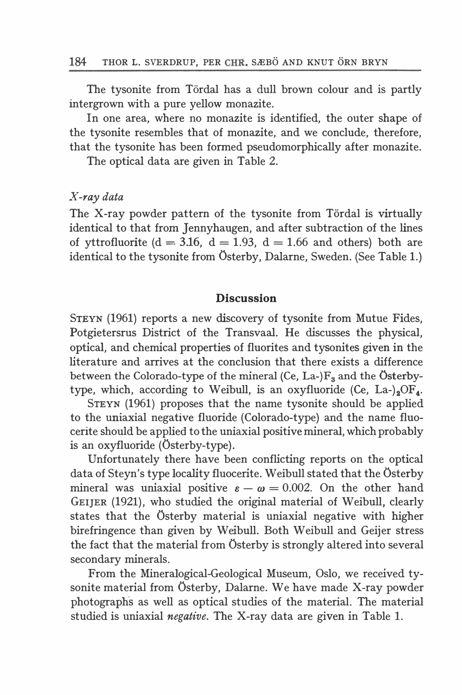The tysonite from Tördal has a dull brown colour and is partly intergrown with a pure yellow monazite.

In one area, where no monazite is identified, the outer shape of the tysonite resembles that of monazite, and we conclude, therefore, that the tysonite has been forrned pseudomorphically after monazite.

The optical data are given in Table 2.

#### }{-ray data

The X-ray powder pattern of the tysonite from Tördal is virtually identical to that from Jennyhaugen, and after subtraction of the lines of yttrofluorite ( $d = 3.16$ ,  $d = 1.93$ ,  $d = 1.66$  and others) both are identical to the tysonite from Osterby, Dalarne, Sweden. (See Table 1.)

#### **Discussion**

STEYN (1961) reports a new discovery of tysonite from Mutue Fides, Potgietersrus District of the Transvaal. He discusses the physical, optical, and chemical properties of fluorites and tysonites given in the literature and arrives at the conclusion that there exists a difference between the Colorado-type of the mineral (Ce, La-) $F_3$  and the Österbytype, which, according to Weibull, is an oxyfluoride (Ce, La-)<sub>2</sub>OF<sub>4</sub>.

STEYN (1961) proposes that the name tysonite should be applied to the uniaxial negative fluoride (Colorado-type) and the name fluocerite should be applied to the uniaxial positive mineral, which probably is an oxyfluoride (Osterby-type).

Unfortunately there have been conflicting reports on the optical data of Steyn's type locality fluocerite. Weibull stated that the Osterby mineral was uniaxial positive  $\varepsilon - \omega = 0.002$ . On the other hand GEIJER (1921), who studied the original material of Weibull, clearly states that the Osterby material is uniaxial negative with higher birefringence than given by Weibull. Both Weibull and Geijer stress the fact that the material from Osterby is strongly altered into several secondary minerals.

From the Mineralogical-Geological Museum, Oslo, we received tysonite material from Osterby, Dalarne. We have made X-ray powder photographs as well as optical studies of the material. The material studied is uniaxial *negative*. The X-ray data are given in Table 1.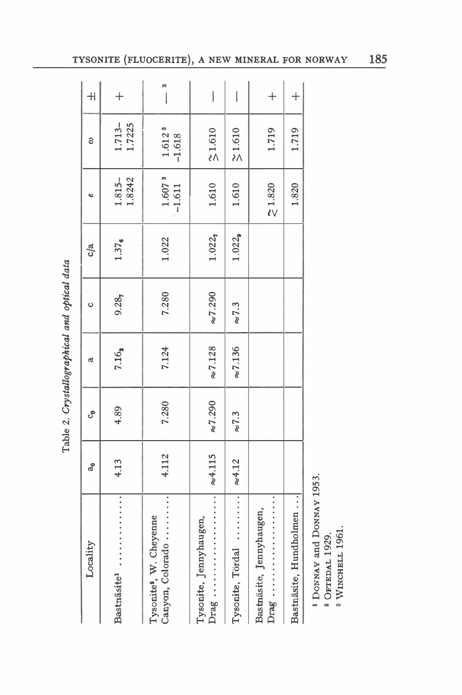| Locality                                                | ಸೆ              | ပီ               | ದ               | ပ               | c/a                | $\omega$                                   | 3                              | $\overline{+}$ |
|---------------------------------------------------------|-----------------|------------------|-----------------|-----------------|--------------------|--------------------------------------------|--------------------------------|----------------|
| .<br>Bastnäsite <sup>1</sup>                            | 4.13            | 4.89             | 7.16,           | 9.28            | $1.37_{6}$         | 1.8242<br>$1.815 -$                        | $1.713 -$<br>1.7225            | $^{+}$         |
| Canyon, Colorado<br>Tysonite <sup>3</sup> , W. Cheyenne | 4.112           | 7.280            | 7.124           | 7.280           | 1.022              | $1.6073$<br>-1.611                         | 1.612 <sup>3</sup><br>$-1.618$ | m              |
| Tysonite, Jennyhaugen,                                  | $\approx 4.115$ | $\approx\!7.290$ | $\approx 7.128$ | $\approx 7.290$ | 1.022              | 1.610                                      | $\mathbf{\tilde{z}}$ 1.610     | $\bigg $       |
| Tysonite, Tördal                                        | $\approx 4.12$  | $\approx$ 7.3    | $\approx 7.136$ | $\approx 7.3$   | 1.022 <sub>8</sub> | 1.610                                      | $\approx$ 1.610                | $\bigg $       |
| Bastnäsite, Jennyhaugen,                                |                 |                  |                 |                 |                    | $\boldsymbol{\mathop{<}\limits_{<}}$ 1.820 | 1.719                          | $^{+}$         |
| Bastnäsite, Hundholmen                                  |                 |                  |                 |                 |                    | 1.820                                      | 1.719                          | $\ddot{+}$     |
|                                                         |                 |                  |                 |                 |                    |                                            |                                |                |

Table 2. Crystallographical and optical data Table 2. Crystallographical and optical data

> <sup>1</sup> DONNAY and DONNAY 1953. **DONNAY and DONNAY 1953.**

2 ОFTEDAL 1929. 2 OFTEDAL 1929.

a WINCHELL 1961. <sup>3</sup> WINCHELL 1961. 185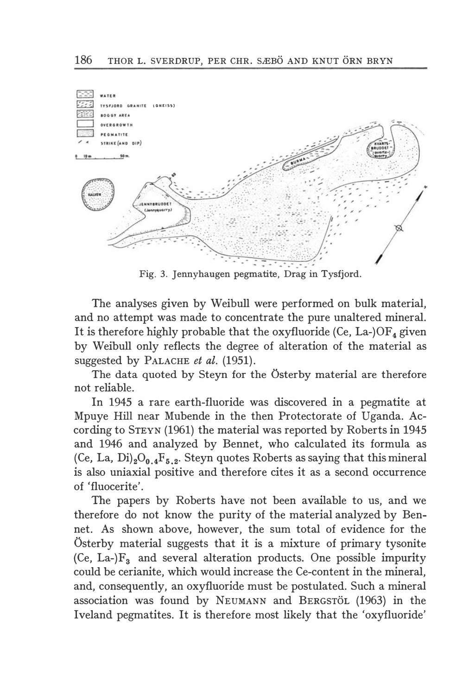

Fig. 3. Jennyhaugen pegmatite, Drag in Tysfjord.

The analyses given by Weibull were performed on bulk material, and no attempt was made to concentrate the pure unaltered mineral. It is therefore highly probable that the oxyfluoride (Ce, La-) $OF<sub>4</sub>$  given by Weibull only reflects the degree of alteration of the material as suggested by PALACHE et al. (1951).

The data quoted by Steyn for the Osterby material are therefore not reliable.

In 1945 a rare earth-fluoride was discovered in a pegmatite at Mpuye Hill near Mubende in the then Protectorate of Uganda. According to STEYN (1961) the material was reported by Roberts in 1945 and 1946 and analyzed by Bennet, who calculated its formula as (Ce, La, Di)<sub>2</sub>O<sub>0.4</sub>F<sub>5.2</sub>. Steyn quotes Roberts as saying that this mineral is also uniaxial positive and therefore cites it as a second occurrence of 'fluocerite'.

The papers by Roberts have not been available to us, and we therefore do not know the purity of the material analyzed by Bennet. As shown above, however, the sum total of evidence for the Osterby material suggests that it is a mixture of primary tysonite (Ce, La- $F_3$  and several alteration products. One possible impurity could be cerianite, which would increase the Ce-content in the mineral, and, consequently, an oxyfluoride must be postulated. Such a mineral association was found by NEUMANN and BERGSTOL (1963) in the Iveland pegmatites. It is therefore most likely that the 'oxyfluoride'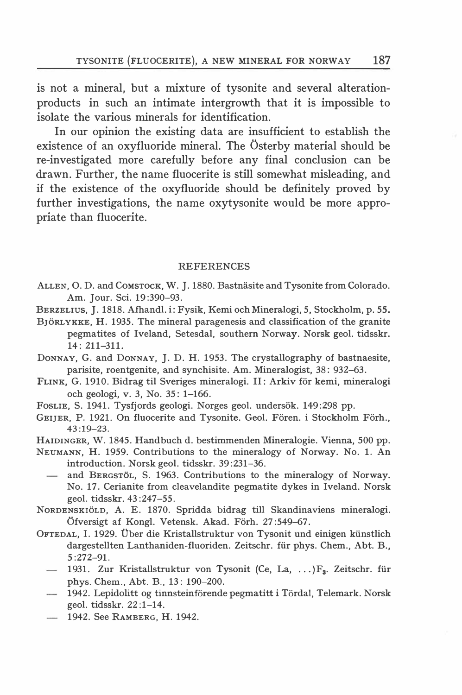is not a mineral, but a mixture of tysonite and several alterationproducts in such an intimate intergrowth that it is impossible to isolate the various minerals for identification.

In our opinion the existing data are insufficient to establish the existence of an oxyfluoride mineral. The Osterby material should be re-investigated more carefully before any final conclusion can be drawn. Further, the name fluocerite is still somewhat misleading, and if the existence of the oxyfluoride should be definitely proved by further investigations, the name oxytysonite would be more appropriate than fluocerite.

#### **REFERENCES**

- ALLEN, O. D. and COMSTOCK, W. J. 1880. Bastnäsite and Tysonite from Colorado. Am. Jour. Sei. 19:390-93.
- BERZELIUS, J. 1818. Afhandl. i: Fysik, Kemi och Mineralogi, 5, Stockholm, p. 55.
- BJORLYKKE, H. 1935. The mineral paragenesis and classification of the granite pegmatites of Iveland, Setesdal, southem Norway. Norsk geol. tidsskr. 14: 211-311.
- DoNNAY, G. and DoNNAY, J. D. H. 1953. The crystallography of bastnaesite, parisite, roentgenite, and synchisite. Am. Mineralogist, 38: 932-63.
- FLINK, G. 1910. Bidrag til Sveriges mineralogi. Il: Arkiv for kemi, mineralogi och geologi, v. 3, No. 35: 1-166.
- FOSLIE, S. 1941. Tysfjords geologi. Norges geol. undersök. 149:298 pp.
- GEIJER, P. 1921. On fluocerite and Tysonite. Geol. Fören. i Stockholm Förh., 43:19-23.
- HAIDINGER, W. 1845. Handbuch d. bestimmenden Mineralogie. Vienna, 500 pp.
- NEUMANN, H. 1959. Contributions to the rnineralogy of Norway. No. l. An introduction. Norsk geol. tidsskr. 39:231-36.
	- $\overline{\phantom{0}}$ and BERGSTOL, S. 1963. Contributions to the mineralogy of Norway. No. 17. Cerianite from cleavelandite pegmatite dykes in Iveland. Norsk geol. tidsskr. 43:247-55.
- NoRDENSKIOLD, A. E. 1870. Spridda bidrag till Skandinaviens mineralogi. Öfversigt af Kongl. Vetensk. Akad. Förh. 27:549–67.
- OFTEDAL, I. 1929. Über die Kristallstruktur von Tysonit und einigen künstlich dargestellten Lanthaniden-fluoriden. Zeitschr. fiir phys. Chem. , Abt. B., 5:272-91.
	- 1931. Zur Kristallstruktur von Tysonit (Ce, La, ... )F<sub>3</sub>. Zeitschr. für phys. Chem., Abt. B., 13: 190-200.
	- $-$  1942. Lepidolitt og tinnsteinförende pegmatitt i Tördal, Telemark. Norsk geol. tidsskr. 22:1-14.
	- 1942. See RAMBERG, H. 1942.